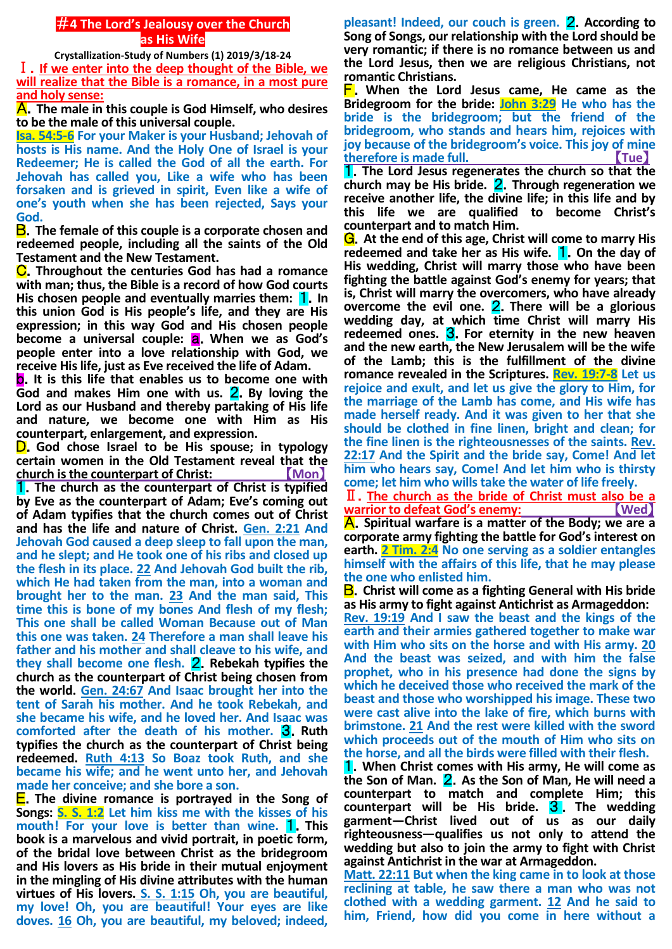## #**4 The Lord's Jealousy over the Church as His Wife**

**Crystallization-Study of Numbers (1) 2019/3/18-24**

Ⅰ.**If we enter into the deep thought of the Bible, we will realize that the Bible is a romance, in a most pure and holy sense:**

A.**The male in this couple is God Himself, who desires to be the male of this universal couple.**

**Isa. 54:5-6 For your Maker is your Husband; Jehovah of hosts is His name. And the Holy One of Israel is your Redeemer; He is called the God of all the earth. For Jehovah has called you, Like a wife who has been forsaken and is grieved in spirit, Even like a wife of one's youth when she has been rejected, Says your God.**

B.**The female of this couple is a corporate chosen and redeemed people, including all the saints of the Old Testament and the New Testament.**

C.**Throughout the centuries God has had a romance with man; thus, the Bible is a record of how God courts**  His chosen people and eventually marries them: **1.** In **this union God is His people's life, and they are His expression; in this way God and His chosen people become a universal couple: <b>a**. When we as God's **people enter into a love relationship with God, we receive His life, just as Eve received the life of Adam.**

b.**It is this life that enables us to become one with God and makes Him one with us.** 2.**By loving the Lord as our Husband and thereby partaking of His life and nature, we become one with Him as His counterpart, enlargement, and expression.**

D.**God chose Israel to be His spouse; in typology certain women in the Old Testament reveal that the church is the counterpart of Christ:** 【**Mon**】

1.**The church as the counterpart of Christ is typified by Eve as the counterpart of Adam; Eve's coming out of Adam typifies that the church comes out of Christ and has the life and nature of Christ. Gen. 2:21 And Jehovah God caused a deep sleep to fall upon the man, and he slept; and He took one of his ribs and closed up the flesh in its place. 22 And Jehovah God built the rib, which He had taken from the man, into a woman and brought her to the man. 23 And the man said, This time this is bone of my bones And flesh of my flesh; This one shall be called Woman Because out of Man this one was taken. 24 Therefore a man shall leave his father and his mother and shall cleave to his wife, and they shall become one flesh.** 2.**Rebekah typifies the church as the counterpart of Christ being chosen from the world. Gen. 24:67 And Isaac brought her into the tent of Sarah his mother. And he took Rebekah, and she became his wife, and he loved her. And Isaac was comforted after the death of his mother.** 3.**Ruth typifies the church as the counterpart of Christ being redeemed. Ruth 4:13 So Boaz took Ruth, and she became his wife; and he went unto her, and Jehovah made her conceive; and she bore a son.**

E.**The divine romance is portrayed in the Song of Songs: S. S. 1:2 Let him kiss me with the kisses of his mouth! For your love is better than wine.** 1.**This book is a marvelous and vivid portrait, in poetic form, of the bridal love between Christ as the bridegroom and His lovers as His bride in their mutual enjoyment in the mingling of His divine attributes with the human virtues of His lovers. S. S. 1:15 Oh, you are beautiful, my love! Oh, you are beautiful! Your eyes are like doves. 16 Oh, you are beautiful, my beloved; indeed,** 

**pleasant! Indeed, our couch is green.** 2.**According to Song of Songs, our relationship with the Lord should be very romantic; if there is no romance between us and the Lord Jesus, then we are religious Christians, not romantic Christians.**

F.**When the Lord Jesus came, He came as the Bridegroom for the bride: John 3:29 He who has the bride is the bridegroom; but the friend of the bridegroom, who stands and hears him, rejoices with joy because of the bridegroom's voice. This joy of mine therefore is made full.** 【**Tue**】

1.**The Lord Jesus regenerates the church so that the church may be His bride.** 2.**Through regeneration we receive another life, the divine life; in this life and by this life we are qualified to become Christ's counterpart and to match Him.**

G.**At the end of this age, Christ will come to marry His redeemed and take her as His wife.** 1.**On the day of His wedding, Christ will marry those who have been fighting the battle against God's enemy for years; that is, Christ will marry the overcomers, who have already overcome the evil one.** 2.**There will be a glorious wedding day, at which time Christ will marry His redeemed ones.** 3.**For eternity in the new heaven and the new earth, the New Jerusalem will be the wife of the Lamb; this is the fulfillment of the divine romance revealed in the Scriptures. Rev. 19:7-8 Let us rejoice and exult, and let us give the glory to Him, for the marriage of the Lamb has come, and His wife has made herself ready. And it was given to her that she should be clothed in fine linen, bright and clean; for the fine linen is the righteousnesses of the saints. Rev. 22:17 And the Spirit and the bride say, Come! And let him who hears say, Come! And let him who is thirsty come; let him who wills take the water of life freely.**

Ⅱ.**The church as the bride of Christ must also be a warrior to defeat God's enemy:** 

A.**Spiritual warfare is a matter of the Body; we are a corporate army fighting the battle for God's interest on earth. 2 Tim. 2:4 No one serving as a soldier entangles himself with the affairs of this life, that he may please the one who enlisted him.**

B.**Christ will come as a fighting General with His bride as His army to fight against Antichrist as Armageddon:**

**Rev. 19:19 And I saw the beast and the kings of the earth and their armies gathered together to make war with Him who sits on the horse and with His army. 20 And the beast was seized, and with him the false prophet, who in his presence had done the signs by which he deceived those who received the mark of the beast and those who worshipped his image. These two were cast alive into the lake of fire, which burns with brimstone. 21 And the rest were killed with the sword which proceeds out of the mouth of Him who sits on the horse, and all the birds were filled with their flesh.**

1.**When Christ comes with His army, He will come as the Son of Man.** 2.**As the Son of Man, He will need a counterpart to match and complete Him; this counterpart will be His bride.** 3 . **The wedding garment—Christ lived out of us as our daily righteousness—qualifies us not only to attend the wedding but also to join the army to fight with Christ against Antichrist in the war at Armageddon.**

**Matt. 22:11 But when the king came in to look at those reclining at table, he saw there a man who was not clothed with a wedding garment. 12 And he said to him, Friend, how did you come in here without a**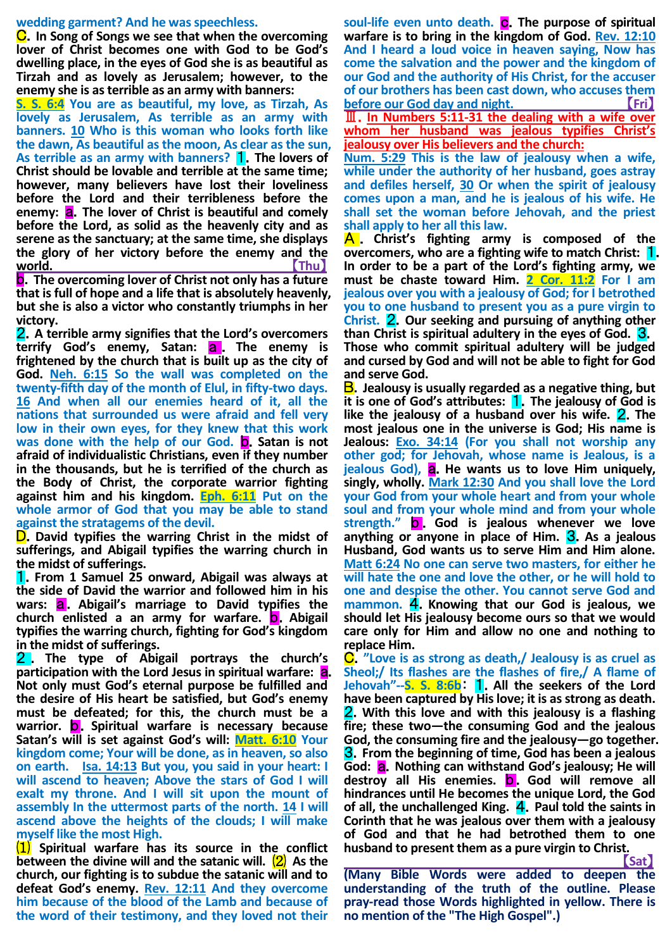### **wedding garment? And he was speechless.**

C.**In Song of Songs we see that when the overcoming lover of Christ becomes one with God to be God's dwelling place, in the eyes of God she is as beautiful as Tirzah and as lovely as Jerusalem; however, to the enemy she is as terrible as an army with banners:**

**S. S. 6:4 You are as beautiful, my love, as Tirzah, As lovely as Jerusalem, As terrible as an army with banners. 10 Who is this woman who looks forth like the dawn, As beautiful as the moon, As clear as the sun, As terrible as an army with banners?** 1.**The lovers of Christ should be lovable and terrible at the same time; however, many believers have lost their loveliness before the Lord and their terribleness before the enemy: a.** The lover of Christ is beautiful and comely **before the Lord, as solid as the heavenly city and as serene as the sanctuary; at the same time, she displays the glory of her victory before the enemy and the world.** 【**Thu**】

b.**The overcoming lover of Christ not only has a future that is full of hope and a life that is absolutely heavenly, but she is also a victor who constantly triumphs in her victory.**

2.**A terrible army signifies that the Lord's overcomers**  terrify God's enemy, Satan: **a** . The enemy is **frightened by the church that is built up as the city of God. Neh. 6:15 So the wall was completed on the twenty-fifth day of the month of Elul, in fifty-two days. 16 And when all our enemies heard of it, all the nations that surrounded us were afraid and fell very low in their own eyes, for they knew that this work**  was done with the help of our God. **D.** Satan is not **afraid of individualistic Christians, even if they number in the thousands, but he is terrified of the church as the Body of Christ, the corporate warrior fighting against him and his kingdom. Eph. 6:11 Put on the whole armor of God that you may be able to stand against the stratagems of the devil.**

D.**David typifies the warring Christ in the midst of sufferings, and Abigail typifies the warring church in the midst of sufferings.**

1.**From 1 Samuel 25 onward, Abigail was always at the side of David the warrior and followed him in his**  wars: **a.** Abigail's marriage to David typifies the **church enlisted a an army for warfare.** b.**Abigail typifies the warring church, fighting for God's kingdom in the midst of sufferings.**

2 . **The type of Abigail portrays the church's participation with the Lord Jesus in spiritual warfare:** a. **Not only must God's eternal purpose be fulfilled and the desire of His heart be satisfied, but God's enemy must be defeated; for this, the church must be a**  warrior. **b.** Spiritual warfare is necessary because **Satan's will is set against God's will: Matt. 6:10 Your kingdom come; Your will be done, as in heaven, so also on earth. Isa. 14:13 But you, you said in your heart: I will ascend to heaven; Above the stars of God I will exalt my throne. And I will sit upon the mount of assembly In the uttermost parts of the north. 14 I will ascend above the heights of the clouds; I will make myself like the most High.**

⑴ **Spiritual warfare has its source in the conflict between the divine will and the satanic will.** ⑵ **As the church, our fighting is to subdue the satanic will and to defeat God's enemy. Rev. 12:11 And they overcome him because of the blood of the Lamb and because of the word of their testimony, and they loved not their** 

soul-life even unto death. **C**. The purpose of spiritual **warfare is to bring in the kingdom of God. Rev. 12:10 And I heard a loud voice in heaven saying, Now has come the salvation and the power and the kingdom of our God and the authority of His Christ, for the accuser of our brothers has been cast down, who accuses them before our God day and night. CEREBY (FRI)** Ⅲ.**In Numbers 5:11-31 the dealing with a wife over** 

**whom her husband was jealous typifies Christ's jealousy over His believers and the church:**

**Num. 5:29 This is the law of jealousy when a wife, while under the authority of her husband, goes astray and defiles herself, 30 Or when the spirit of jealousy comes upon a man, and he is jealous of his wife. He shall set the woman before Jehovah, and the priest shall apply to her all this law.**

A . **Christ's fighting army is composed of the overcomers, who are a fighting wife to match Christ: 1. In order to be a part of the Lord's fighting army, we must be chaste toward Him. 2 Cor. 11:2 For I am jealous over you with a jealousy of God; for I betrothed you to one husband to present you as a pure virgin to Christ.** 2.**Our seeking and pursuing of anything other than Christ is spiritual adultery in the eyes of God.** 3. **Those who commit spiritual adultery will be judged and cursed by God and will not be able to fight for God and serve God.**

B.**Jealousy is usually regarded as a negative thing, but it is one of God's attributes:** 1.**The jealousy of God is like the jealousy of a husband over his wife.** 2.**The most jealous one in the universe is God; His name is Jealous: Exo. 34:14 (For you shall not worship any other god; for Jehovah, whose name is Jealous, is a jealous God),** a.**He wants us to love Him uniquely, singly, wholly. Mark 12:30 And you shall love the Lord your God from your whole heart and from your whole soul and from your whole mind and from your whole strength."** b . **God is jealous whenever we love anything or anyone in place of Him.** 3.**As a jealous Husband, God wants us to serve Him and Him alone. Matt 6:24 No one can serve two masters, for either he will hate the one and love the other, or he will hold to one and despise the other. You cannot serve God and mammon.** 4.**Knowing that our God is jealous, we should let His jealousy become ours so that we would care only for Him and allow no one and nothing to replace Him.**

C.**"Love is as strong as death,/ Jealousy is as cruel as Sheol;/ Its flashes are the flashes of fire,/ A flame of Jehovah"--S. S. 8:6b**: 1.**All the seekers of the Lord have been captured by His love; it is as strong as death.** 2.**With this love and with this jealousy is a flashing fire; these two—the consuming God and the jealous God, the consuming fire and the jealousy—go together.** 3.**From the beginning of time, God has been a jealous**  God: **a.** Nothing can withstand God's jealousy; He will destroy all His enemies. **D**. God will remove all **hindrances until He becomes the unique Lord, the God of all, the unchallenged King.** 4.**Paul told the saints in Corinth that he was jealous over them with a jealousy of God and that he had betrothed them to one husband to present them as a pure virgin to Christ.**

**Example 2016 19:20 The Contract of Cat (Many Bible Words were added to deepen the understanding of the truth of the outline. Please pray-read those Words highlighted in yellow. There is no mention of the "The High Gospel".)**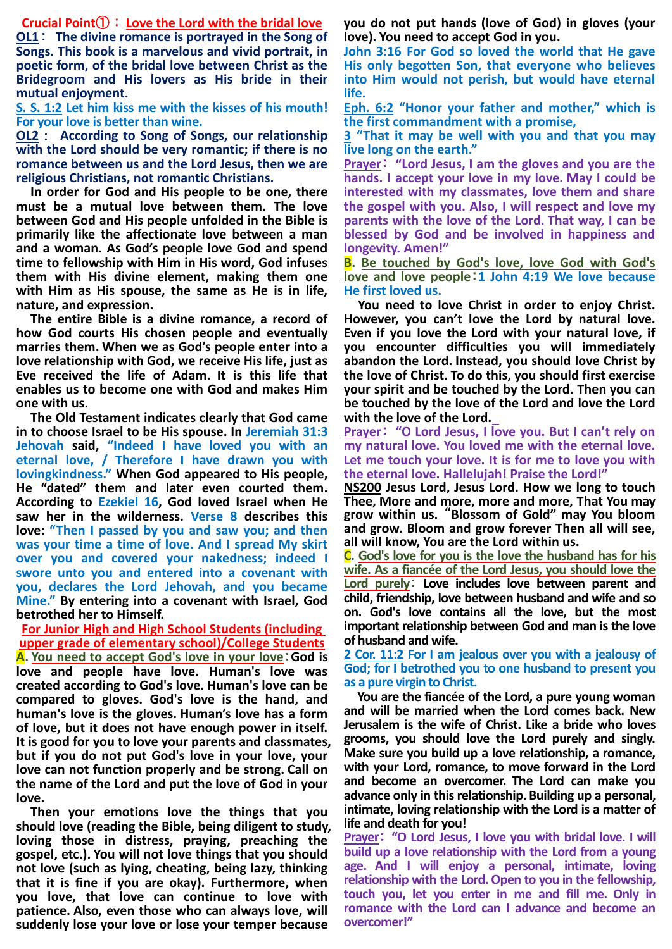**Crucial Point**①:**Love the Lord with the bridal love**

**OL1**: **The divine romance is portrayed in the Song of Songs. This book is a marvelous and vivid portrait, in poetic form, of the bridal love between Christ as the Bridegroom and His lovers as His bride in their mutual enjoyment.**

**S. S. 1:2 Let him kiss me with the kisses of his mouth! For your love is better than wine.**

**OL2**: **According to Song of Songs, our relationship with the Lord should be very romantic; if there is no romance between us and the Lord Jesus, then we are religious Christians, not romantic Christians.**

**In order for God and His people to be one, there must be a mutual love between them. The love between God and His people unfolded in the Bible is primarily like the affectionate love between a man and a woman. As God's people love God and spend time to fellowship with Him in His word, God infuses them with His divine element, making them one with Him as His spouse, the same as He is in life, nature, and expression.**

**The entire Bible is a divine romance, a record of how God courts His chosen people and eventually marries them. When we as God's people enter into a love relationship with God, we receive His life, just as Eve received the life of Adam. It is this life that enables us to become one with God and makes Him one with us.**

**The Old Testament indicates clearly that God came in to choose Israel to be His spouse. In Jeremiah 31:3 Jehovah said, "Indeed I have loved you with an eternal love, / Therefore I have drawn you with lovingkindness." When God appeared to His people, He "dated" them and later even courted them. According to Ezekiel 16, God loved Israel when He saw her in the wilderness. Verse 8 describes this love: "Then I passed by you and saw you; and then was your time a time of love. And I spread My skirt over you and covered your nakedness; indeed I swore unto you and entered into a covenant with you, declares the Lord Jehovah, and you became Mine." By entering into a covenant with Israel, God betrothed her to Himself.**

**For Junior High and High School Students (including upper grade of elementary school)/College Students A. You need to accept God's love in your love**:**God is love and people have love. Human's love was created according to God's love. Human's love can be compared to gloves. God's love is the hand, and human's love is the gloves. Human's love has a form of love, but it does not have enough power in itself. It is good for you to love your parents and classmates, but if you do not put God's love in your love, your love can not function properly and be strong. Call on the name of the Lord and put the love of God in your love.**

**Then your emotions love the things that you should love (reading the Bible, being diligent to study, loving those in distress, praying, preaching the gospel, etc.). You will not love things that you should not love (such as lying, cheating, being lazy, thinking that it is fine if you are okay). Furthermore, when you love, that love can continue to love with patience. Also, even those who can always love, will suddenly lose your love or lose your temper because** 

**you do not put hands (love of God) in gloves (your love). You need to accept God in you.**

**John 3:16 For God so loved the world that He gave His only begotten Son, that everyone who believes into Him would not perish, but would have eternal life.**

**Eph. 6:2 "Honor your father and mother," which is the first commandment with a promise,**

**3 "That it may be well with you and that you may live long on the earth."**

**Prayer**: **"Lord Jesus, I am the gloves and you are the hands. I accept your love in my love. May I could be interested with my classmates, love them and share the gospel with you. Also, I will respect and love my parents with the love of the Lord. That way, I can be blessed by God and be involved in happiness and longevity. Amen!"**

**B. Be touched by God's love, love God with God's love and love people**:**1 John 4:19 We love because He first loved us.**

**You need to love Christ in order to enjoy Christ. However, you can't love the Lord by natural love. Even if you love the Lord with your natural love, if you encounter difficulties you will immediately abandon the Lord. Instead, you should love Christ by the love of Christ. To do this, you should first exercise your spirit and be touched by the Lord. Then you can be touched by the love of the Lord and love the Lord with the love of the Lord.**

**Prayer**: **"O Lord Jesus, I love you. But I can't rely on my natural love. You loved me with the eternal love. Let me touch your love. It is for me to love you with the eternal love. Hallelujah! Praise the Lord!"**

**NS200 Jesus Lord, Jesus Lord. How we long to touch Thee, More and more, more and more, That You may grow within us.** "**Blossom of Gold" may You bloom and grow. Bloom and grow forever Then all will see, all will know, You are the Lord within us.**

**C. God's love for you is the love the husband has for his wife. As a fiancée of the Lord Jesus, you should love the Lord purely**: **Love includes love between parent and child, friendship, love between husband and wife and so on. God's love contains all the love, but the most important relationship between God and man is the love of husband and wife.**

**2 Cor. 11:2 For I am jealous over you with a jealousy of God; for I betrothed you to one husband to present you as a pure virgin to Christ.**

**You are the fiancée of the Lord, a pure young woman and will be married when the Lord comes back. New Jerusalem is the wife of Christ. Like a bride who loves grooms, you should love the Lord purely and singly. Make sure you build up a love relationship, a romance, with your Lord, romance, to move forward in the Lord and become an overcomer. The Lord can make you advance only in this relationship. Building up a personal, intimate, loving relationship with the Lord is a matter of life and death for you!**

**Prayer**: **"O Lord Jesus, I love you with bridal love. I will build up a love relationship with the Lord from a young age. And I will enjoy a personal, intimate, loving relationship with the Lord.Open to you in the fellowship, touch you, let you enter in me and fill me. Only in romance with the Lord can I advance and become an overcomer!"**